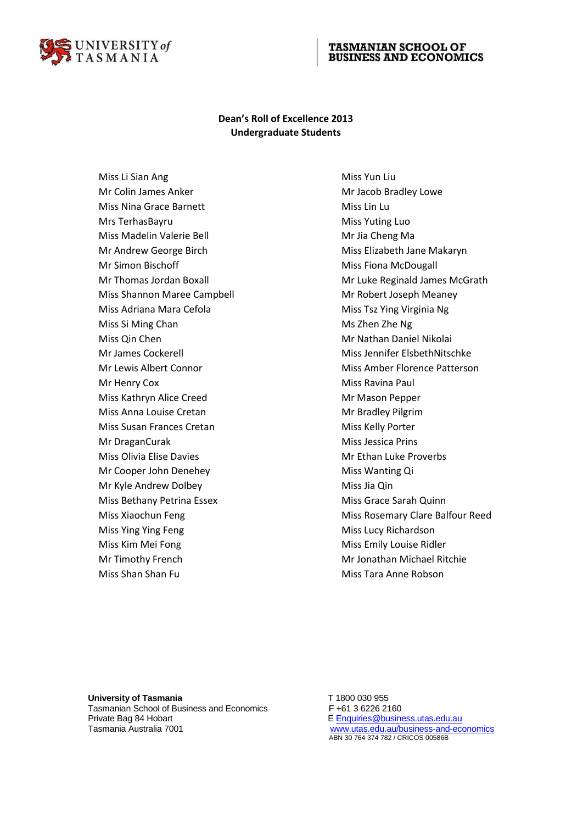

## **TASMANIAN SCHOOL OF BUSINESS AND ECONOMICS**

## **Dean's Roll of Excellence 2013 Undergraduate Students**

Miss Li Sian Ang **Miss Yun Liu** Mr Colin James Anker Mr Jacob Bradley Lowe Miss Nina Grace Barnett Miss Lin Lu Mrs TerhasBayru **Miss Yuting Luo** Miss Madelin Valerie Bell Miss Madelin Valerie Bell Miss Mr Jia Cheng Ma Mr Andrew George Birch Miss Elizabeth Jane Makaryn Mr Simon Bischoff Miss Fiona McDougall Miss Shannon Maree Campbell Mr Robert Joseph Meaney Miss Adriana Mara Cefola Miss Tsz Ying Virginia Ng Miss Si Ming Chan Miss Si Ming Chan Miss Si Ming Chan Miss Si Miss 2hen Zhe Ng Miss Qin Chen Mr Nathan Daniel Nikolai Mr Henry Cox **Miss Ravina Paul** Miss Kathryn Alice Creed Mr Mason Pepper Miss Anna Louise Cretan Miss Anna Louise Cretan Miss Anna Louise Cretan Museum Museum Museum Museum Museum Museum Museum Museum Museum Museum Museum Museum Museum Museum Museum Museum Museum Museum Museum Museum Museum Mus Miss Susan Frances Cretan Miss Kelly Porter Mr DraganCurak **Miss Jessica Prins** Miss Jessica Prins Miss Olivia Elise Davies Miss Olivia Elise Davies Miss Olivia Elise Davies Miss Olivia Automatic Museum Miss O Mr Cooper John Denehey Miss Wanting Qi Mr Kyle Andrew Dolbey Miss Jia Qin Miss Bethany Petrina Essex Miss Grace Sarah Quinn Miss Ying Ying Feng Miss Lucy Richardson Miss Kim Mei Fong Miss Emily Louise Ridler Mr Timothy French Mr Jonathan Michael Ritchie Miss Shan Shan Fu Miss Tara Anne Robson

Mr Thomas Jordan Boxall Mr Luke Reginald James McGrath Mr James Cockerell Miss Jennifer ElsbethNitschke Mr Lewis Albert Connor **Miss Amber Florence Patterson** Miss Xiaochun Feng Miss Rosemary Clare Balfour Reed

University of Tasmania **T** 1800 030 955 Tasmanian School of Business and Economics F +61 3 6226 2160 Private Bag 84 Hobart **E** [Enquiries@business.utas.edu.au](mailto:AcademicSupport.TSBE@utas.edu.au) Tasmania Australia 7001 [www.utas.edu.au/business-and-economics](http://www.utas.edu.au/business-and-economics)

ABN 30 764 374 782 / CRICOS 00586B